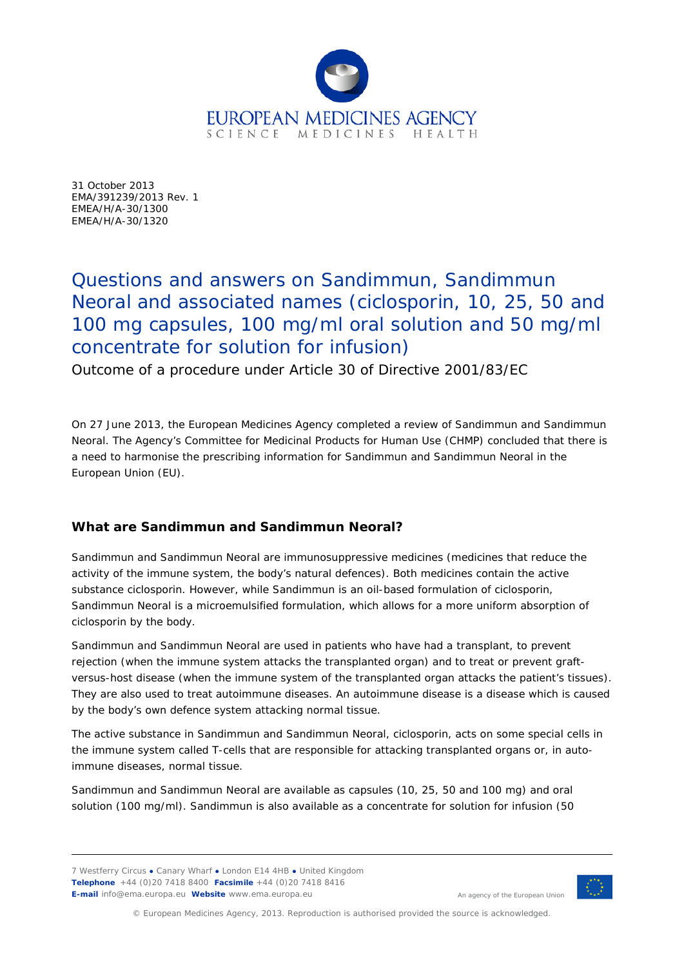

31 October 2013 EMA/391239/2013 Rev. 1 EMEA/H/A-30/1300 EMEA/H/A-30/1320

# Questions and answers on Sandimmun, Sandimmun Neoral and associated names (ciclosporin, 10, 25, 50 and 100 mg capsules, 100 mg/ml oral solution and 50 mg/ml concentrate for solution for infusion)

Outcome of a procedure under Article 30 of Directive 2001/83/EC

On 27 June 2013, the European Medicines Agency completed a review of Sandimmun and Sandimmun Neoral. The Agency's Committee for Medicinal Products for Human Use (CHMP) concluded that there is a need to harmonise the prescribing information for Sandimmun and Sandimmun Neoral in the European Union (EU).

# **What are Sandimmun and Sandimmun Neoral?**

Sandimmun and Sandimmun Neoral are immunosuppressive medicines (medicines that reduce the activity of the immune system, the body's natural defences). Both medicines contain the active substance ciclosporin. However, while Sandimmun is an oil-based formulation of ciclosporin, Sandimmun Neoral is a microemulsified formulation, which allows for a more uniform absorption of ciclosporin by the body.

Sandimmun and Sandimmun Neoral are used in patients who have had a transplant, to prevent rejection (when the immune system attacks the transplanted organ) and to treat or prevent graftversus-host disease (when the immune system of the transplanted organ attacks the patient's tissues). They are also used to treat autoimmune diseases. An autoimmune disease is a disease which is caused by the body's own defence system attacking normal tissue.

The active substance in Sandimmun and Sandimmun Neoral, ciclosporin, acts on some special cells in the immune system called T-cells that are responsible for attacking transplanted organs or, in autoimmune diseases, normal tissue.

Sandimmun and Sandimmun Neoral are available as capsules (10, 25, 50 and 100 mg) and oral solution (100 mg/ml). Sandimmun is also available as a concentrate for solution for infusion (50

7 Westferry Circus **●** Canary Wharf **●** London E14 4HB **●** United Kingdom **Telephone** +44 (0)20 7418 8400 **Facsimile** +44 (0)20 7418 8416 **E-mail** info@ema.europa.eu **Website** www.ema.europa.eu



An agency of the European Union

© European Medicines Agency, 2013. Reproduction is authorised provided the source is acknowledged.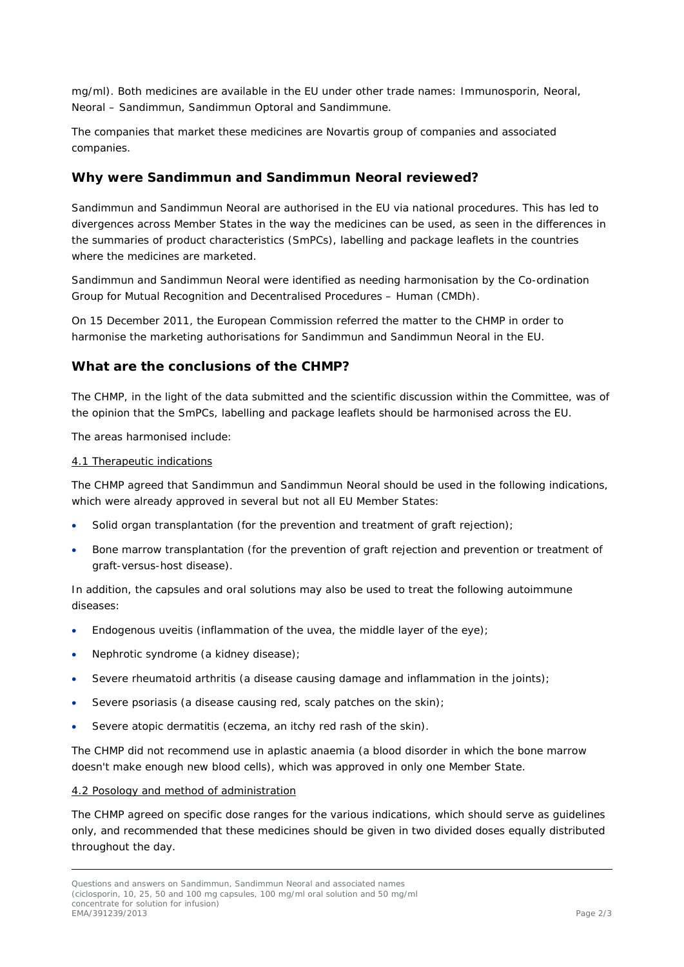mg/ml). Both medicines are available in the EU under other trade names: Immunosporin, Neoral, Neoral – Sandimmun, Sandimmun Optoral and Sandimmune.

The companies that market these medicines are Novartis group of companies and associated companies.

## **Why were Sandimmun and Sandimmun Neoral reviewed?**

Sandimmun and Sandimmun Neoral are authorised in the EU via national procedures. This has led to divergences across Member States in the way the medicines can be used, as seen in the differences in the summaries of product characteristics (SmPCs), labelling and package leaflets in the countries where the medicines are marketed.

Sandimmun and Sandimmun Neoral were identified as needing harmonisation by the Co-ordination Group for Mutual Recognition and Decentralised Procedures – Human (CMDh).

On 15 December 2011, the European Commission referred the matter to the CHMP in order to harmonise the marketing authorisations for Sandimmun and Sandimmun Neoral in the EU.

## **What are the conclusions of the CHMP?**

The CHMP, in the light of the data submitted and the scientific discussion within the Committee, was of the opinion that the SmPCs, labelling and package leaflets should be harmonised across the EU.

The areas harmonised include:

#### 4.1 Therapeutic indications

The CHMP agreed that Sandimmun and Sandimmun Neoral should be used in the following indications, which were already approved in several but not all EU Member States:

- Solid organ transplantation (for the prevention and treatment of graft rejection);
- Bone marrow transplantation (for the prevention of graft rejection and prevention or treatment of graft-versus-host disease).

In addition, the capsules and oral solutions may also be used to treat the following autoimmune diseases:

- Endogenous uveitis (inflammation of the uvea, the middle layer of the eye);
- Nephrotic syndrome (a kidney disease);
- Severe rheumatoid arthritis (a disease causing damage and inflammation in the joints);
- Severe psoriasis (a disease causing red, scaly patches on the skin);
- Severe atopic dermatitis (eczema, an itchy red rash of the skin).

The CHMP did not recommend use in aplastic anaemia (a blood disorder in which the bone marrow doesn't make enough new blood cells), which was approved in only one Member State.

#### 4.2 Posology and method of administration

The CHMP agreed on specific dose ranges for the various indications, which should serve as guidelines only, and recommended that these medicines should be given in two divided doses equally distributed throughout the day.